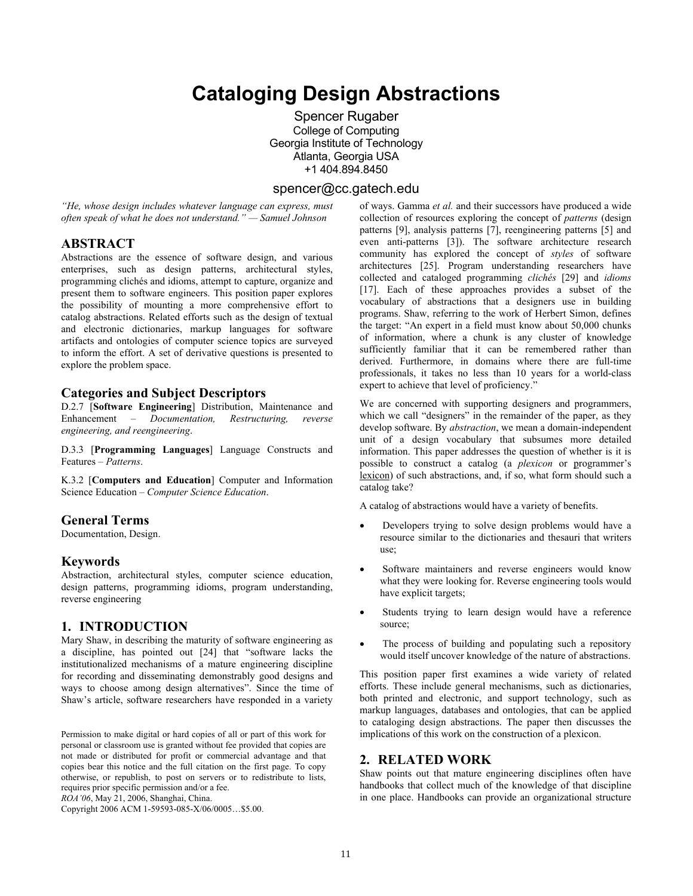# **Cataloging Design Abstractions**

Spencer Rugaber College of Computing Georgia Institute of Technology Atlanta, Georgia USA +1 404.894.8450

## spencer@cc.gatech.edu

*"He, whose design includes whatever language can express, must often speak of what he does not understand." — Samuel Johnson* 

## **ABSTRACT**

Abstractions are the essence of software design, and various enterprises, such as design patterns, architectural styles, programming clichés and idioms, attempt to capture, organize and present them to software engineers. This position paper explores the possibility of mounting a more comprehensive effort to catalog abstractions. Related efforts such as the design of textual and electronic dictionaries, markup languages for software artifacts and ontologies of computer science topics are surveyed to inform the effort. A set of derivative questions is presented to explore the problem space.

## **Categories and Subject Descriptors**

D.2.7 [**Software Engineering**] Distribution, Maintenance and Enhancement – *Documentation, Restructuring, reverse engineering, and reengineering*.

D.3.3 [**Programming Languages**] Language Constructs and Features – *Patterns*.

K.3.2 [**Computers and Education**] Computer and Information Science Education – *Computer Science Education*.

## **General Terms**

Documentation, Design.

## **Keywords**

Abstraction, architectural styles, computer science education, design patterns, programming idioms, program understanding, reverse engineering

#### **1. INTRODUCTION**

Mary Shaw, in describing the maturity of software engineering as a discipline, has pointed out [24] that "software lacks the institutionalized mechanisms of a mature engineering discipline for recording and disseminating demonstrably good designs and ways to choose among design alternatives". Since the time of Shaw's article, software researchers have responded in a variety

Permission to make digital or hard copies of all or part of this work for personal or classroom use is granted without fee provided that copies are not made or distributed for profit or commercial advantage and that copies bear this notice and the full citation on the first page. To copy otherwise, or republish, to post on servers or to redistribute to lists, requires prior specific permission and/or a fee.

*ROA'06*, May 21, 2006, Shanghai, China.

Copyright 2006 ACM 1-59593-085-X/06/0005…\$5.00.

of ways. Gamma *et al.* and their successors have produced a wide collection of resources exploring the concept of *patterns* (design patterns [9], analysis patterns [7], reengineering patterns [5] and even anti-patterns [3]). The software architecture research community has explored the concept of *styles* of software architectures [25]. Program understanding researchers have collected and cataloged programming *clichés* [29] and *idioms* [17]. Each of these approaches provides a subset of the vocabulary of abstractions that a designers use in building programs. Shaw, referring to the work of Herbert Simon, defines the target: "An expert in a field must know about 50,000 chunks of information, where a chunk is any cluster of knowledge sufficiently familiar that it can be remembered rather than derived. Furthermore, in domains where there are full-time professionals, it takes no less than 10 years for a world-class expert to achieve that level of proficiency."

We are concerned with supporting designers and programmers, which we call "designers" in the remainder of the paper, as they develop software. By *abstraction*, we mean a domain-independent unit of a design vocabulary that subsumes more detailed information. This paper addresses the question of whether is it is possible to construct a catalog (a *plexicon* or programmer's lexicon) of such abstractions, and, if so, what form should such a catalog take?

A catalog of abstractions would have a variety of benefits.

- Developers trying to solve design problems would have a resource similar to the dictionaries and thesauri that writers use;
- Software maintainers and reverse engineers would know what they were looking for. Reverse engineering tools would have explicit targets;
- Students trying to learn design would have a reference source;
- The process of building and populating such a repository would itself uncover knowledge of the nature of abstractions.

This position paper first examines a wide variety of related efforts. These include general mechanisms, such as dictionaries, both printed and electronic, and support technology, such as markup languages, databases and ontologies, that can be applied to cataloging design abstractions. The paper then discusses the implications of this work on the construction of a plexicon.

## **2. RELATED WORK**

Shaw points out that mature engineering disciplines often have handbooks that collect much of the knowledge of that discipline in one place. Handbooks can provide an organizational structure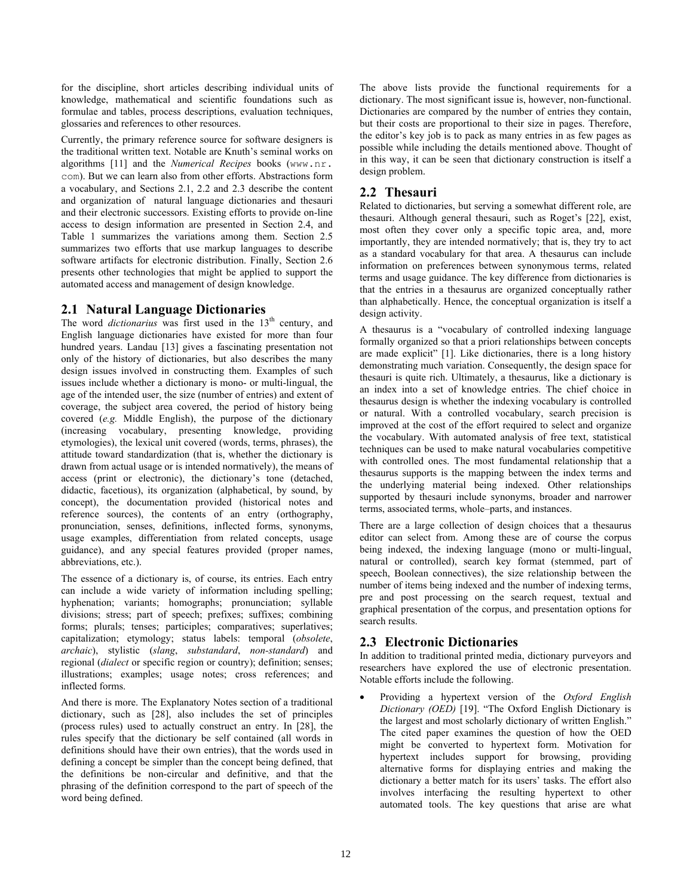for the discipline, short articles describing individual units of knowledge, mathematical and scientific foundations such as formulae and tables, process descriptions, evaluation techniques, glossaries and references to other resources.

Currently, the primary reference source for software designers is the traditional written text. Notable are Knuth's seminal works on algorithms [11] and the *Numerical Recipes* books (www.nr. com). But we can learn also from other efforts. Abstractions form a vocabulary, and Sections 2.1, 2.2 and 2.3 describe the content and organization of natural language dictionaries and thesauri and their electronic successors. Existing efforts to provide on-line access to design information are presented in Section 2.4, and Table 1 summarizes the variations among them. Section 2.5 summarizes two efforts that use markup languages to describe software artifacts for electronic distribution. Finally, Section 2.6 presents other technologies that might be applied to support the automated access and management of design knowledge.

## **2.1 Natural Language Dictionaries**

The word *dictionarius* was first used in the 13<sup>th</sup> century, and English language dictionaries have existed for more than four hundred years. Landau [13] gives a fascinating presentation not only of the history of dictionaries, but also describes the many design issues involved in constructing them. Examples of such issues include whether a dictionary is mono- or multi-lingual, the age of the intended user, the size (number of entries) and extent of coverage, the subject area covered, the period of history being covered (*e.g.* Middle English), the purpose of the dictionary (increasing vocabulary, presenting knowledge, providing etymologies), the lexical unit covered (words, terms, phrases), the attitude toward standardization (that is, whether the dictionary is drawn from actual usage or is intended normatively), the means of access (print or electronic), the dictionary's tone (detached, didactic, facetious), its organization (alphabetical, by sound, by concept), the documentation provided (historical notes and reference sources), the contents of an entry (orthography, pronunciation, senses, definitions, inflected forms, synonyms, usage examples, differentiation from related concepts, usage guidance), and any special features provided (proper names, abbreviations, etc.).

The essence of a dictionary is, of course, its entries. Each entry can include a wide variety of information including spelling; hyphenation; variants; homographs; pronunciation; syllable divisions; stress; part of speech; prefixes; suffixes; combining forms; plurals; tenses; participles; comparatives; superlatives; capitalization; etymology; status labels: temporal (*obsolete*, *archaic*), stylistic (*slang*, *substandard*, *non-standard*) and regional (*dialect* or specific region or country); definition; senses; illustrations; examples; usage notes; cross references; and inflected forms.

And there is more. The Explanatory Notes section of a traditional dictionary, such as [28], also includes the set of principles (process rules) used to actually construct an entry. In [28], the rules specify that the dictionary be self contained (all words in definitions should have their own entries), that the words used in defining a concept be simpler than the concept being defined, that the definitions be non-circular and definitive, and that the phrasing of the definition correspond to the part of speech of the word being defined.

The above lists provide the functional requirements for a dictionary. The most significant issue is, however, non-functional. Dictionaries are compared by the number of entries they contain, but their costs are proportional to their size in pages. Therefore, the editor's key job is to pack as many entries in as few pages as possible while including the details mentioned above. Thought of in this way, it can be seen that dictionary construction is itself a design problem.

## **2.2 Thesauri**

Related to dictionaries, but serving a somewhat different role, are thesauri. Although general thesauri, such as Roget's [22], exist, most often they cover only a specific topic area, and, more importantly, they are intended normatively; that is, they try to act as a standard vocabulary for that area. A thesaurus can include information on preferences between synonymous terms, related terms and usage guidance. The key difference from dictionaries is that the entries in a thesaurus are organized conceptually rather than alphabetically. Hence, the conceptual organization is itself a design activity.

A thesaurus is a "vocabulary of controlled indexing language formally organized so that a priori relationships between concepts are made explicit" [1]. Like dictionaries, there is a long history demonstrating much variation. Consequently, the design space for thesauri is quite rich. Ultimately, a thesaurus, like a dictionary is an index into a set of knowledge entries. The chief choice in thesaurus design is whether the indexing vocabulary is controlled or natural. With a controlled vocabulary, search precision is improved at the cost of the effort required to select and organize the vocabulary. With automated analysis of free text, statistical techniques can be used to make natural vocabularies competitive with controlled ones. The most fundamental relationship that a thesaurus supports is the mapping between the index terms and the underlying material being indexed. Other relationships supported by thesauri include synonyms, broader and narrower terms, associated terms, whole–parts, and instances.

There are a large collection of design choices that a thesaurus editor can select from. Among these are of course the corpus being indexed, the indexing language (mono or multi-lingual, natural or controlled), search key format (stemmed, part of speech, Boolean connectives), the size relationship between the number of items being indexed and the number of indexing terms, pre and post processing on the search request, textual and graphical presentation of the corpus, and presentation options for search results.

## **2.3 Electronic Dictionaries**

In addition to traditional printed media, dictionary purveyors and researchers have explored the use of electronic presentation. Notable efforts include the following.

• Providing a hypertext version of the *Oxford English Dictionary (OED)* [19]. "The Oxford English Dictionary is the largest and most scholarly dictionary of written English." The cited paper examines the question of how the OED might be converted to hypertext form. Motivation for hypertext includes support for browsing, providing alternative forms for displaying entries and making the dictionary a better match for its users' tasks. The effort also involves interfacing the resulting hypertext to other automated tools. The key questions that arise are what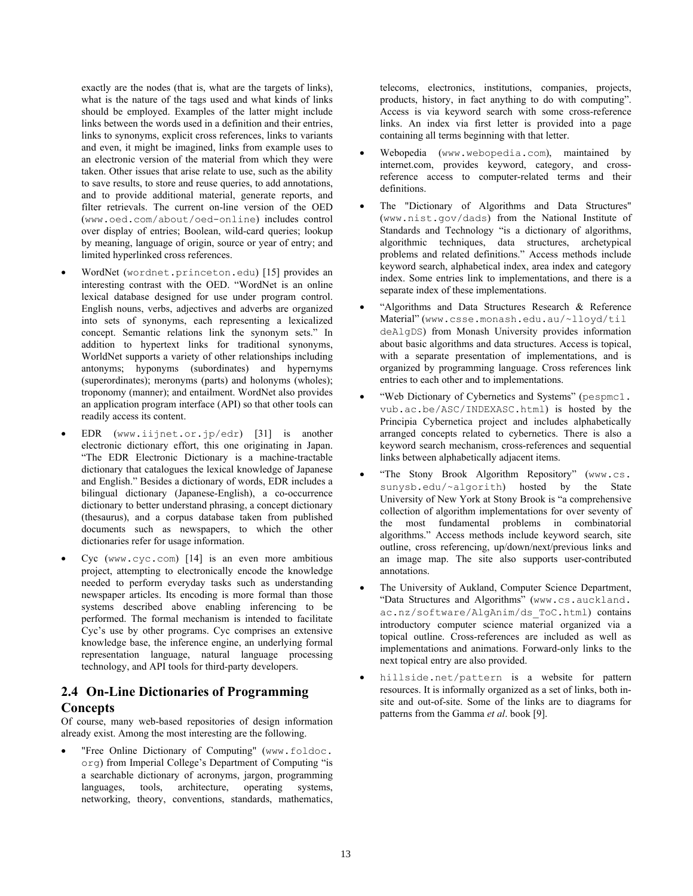exactly are the nodes (that is, what are the targets of links), what is the nature of the tags used and what kinds of links should be employed. Examples of the latter might include links between the words used in a definition and their entries. links to synonyms, explicit cross references, links to variants and even, it might be imagined, links from example uses to an electronic version of the material from which they were taken. Other issues that arise relate to use, such as the ability to save results, to store and reuse queries, to add annotations, and to provide additional material, generate reports, and filter retrievals. The current on-line version of the OED (www.oed.com/about/oed-online) includes control over display of entries; Boolean, wild-card queries; lookup by meaning, language of origin, source or year of entry; and limited hyperlinked cross references.

- WordNet (wordnet.princeton.edu) [15] provides an interesting contrast with the OED. "WordNet is an online lexical database designed for use under program control. English nouns, verbs, adjectives and adverbs are organized into sets of synonyms, each representing a lexicalized concept. Semantic relations link the synonym sets." In addition to hypertext links for traditional synonyms, WorldNet supports a variety of other relationships including antonyms; hyponyms (subordinates) and hypernyms (superordinates); meronyms (parts) and holonyms (wholes); troponomy (manner); and entailment. WordNet also provides an application program interface (API) so that other tools can readily access its content.
- EDR (www.iijnet.or.jp/edr) [31] is another electronic dictionary effort, this one originating in Japan. "The EDR Electronic Dictionary is a machine-tractable dictionary that catalogues the lexical knowledge of Japanese and English." Besides a dictionary of words, EDR includes a bilingual dictionary (Japanese-English), a co-occurrence dictionary to better understand phrasing, a concept dictionary (thesaurus), and a corpus database taken from published documents such as newspapers, to which the other dictionaries refer for usage information.
- Cyc (www.cyc.com)  $[14]$  is an even more ambitious project, attempting to electronically encode the knowledge needed to perform everyday tasks such as understanding newspaper articles. Its encoding is more formal than those systems described above enabling inferencing to be performed. The formal mechanism is intended to facilitate Cyc's use by other programs. Cyc comprises an extensive knowledge base, the inference engine, an underlying formal representation language, natural language processing technology, and API tools for third-party developers.

# **2.4 On-Line Dictionaries of Programming Concepts**

Of course, many web-based repositories of design information already exist. Among the most interesting are the following.

"Free Online Dictionary of Computing" (www.foldoc. org) from Imperial College's Department of Computing "is a searchable dictionary of acronyms, jargon, programming languages, tools, architecture, operating systems, networking, theory, conventions, standards, mathematics,

telecoms, electronics, institutions, companies, projects, products, history, in fact anything to do with computing". Access is via keyword search with some cross-reference links. An index via first letter is provided into a page containing all terms beginning with that letter.

- Webopedia (www.webopedia.com), maintained by internet.com, provides keyword, category, and crossreference access to computer-related terms and their definitions.
- The "Dictionary of Algorithms and Data Structures" (www.nist.gov/dads) from the National Institute of Standards and Technology "is a dictionary of algorithms, algorithmic techniques, data structures, archetypical problems and related definitions." Access methods include keyword search, alphabetical index, area index and category index. Some entries link to implementations, and there is a separate index of these implementations.
- "Algorithms and Data Structures Research & Reference Material" (www.csse.monash.edu.au/~lloyd/til deAlgDS) from Monash University provides information about basic algorithms and data structures. Access is topical, with a separate presentation of implementations, and is organized by programming language. Cross references link entries to each other and to implementations.
- "Web Dictionary of Cybernetics and Systems" (pespmc1. vub.ac.be/ASC/INDEXASC.html) is hosted by the Principia Cybernetica project and includes alphabetically arranged concepts related to cybernetics. There is also a keyword search mechanism, cross-references and sequential links between alphabetically adjacent items.
- "The Stony Brook Algorithm Repository" (www.cs. sunysb.edu/~algorith) hosted by the State University of New York at Stony Brook is "a comprehensive collection of algorithm implementations for over seventy of the most fundamental problems in combinatorial algorithms." Access methods include keyword search, site outline, cross referencing, up/down/next/previous links and an image map. The site also supports user-contributed annotations.
- The University of Aukland, Computer Science Department, "Data Structures and Algorithms" (www.cs.auckland. ac.nz/software/AlgAnim/ds\_ToC.html) contains introductory computer science material organized via a topical outline. Cross-references are included as well as implementations and animations. Forward-only links to the next topical entry are also provided.
- hillside.net/pattern is a website for pattern resources. It is informally organized as a set of links, both insite and out-of-site. Some of the links are to diagrams for patterns from the Gamma *et al*. book [9].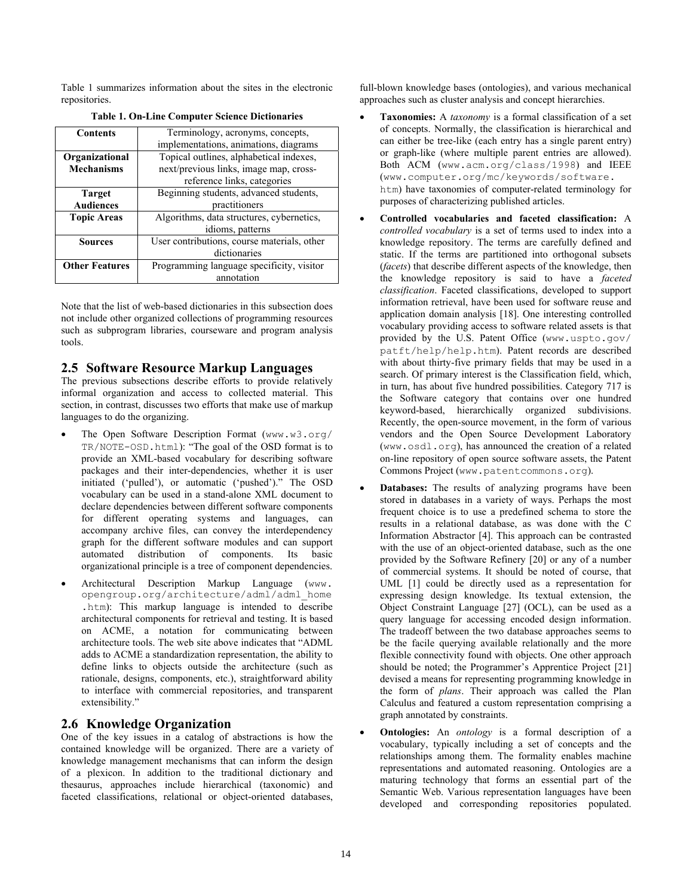Table 1 summarizes information about the sites in the electronic repositories.

| <b>Contents</b>       | Terminology, acronyms, concepts,            |
|-----------------------|---------------------------------------------|
|                       | implementations, animations, diagrams       |
| Organizational        | Topical outlines, alphabetical indexes,     |
| <b>Mechanisms</b>     | next/previous links, image map, cross-      |
|                       | reference links, categories                 |
| <b>Target</b>         | Beginning students, advanced students,      |
| <b>Audiences</b>      | practitioners                               |
| <b>Topic Areas</b>    | Algorithms, data structures, cybernetics,   |
|                       | idioms, patterns                            |
| <b>Sources</b>        | User contributions, course materials, other |
|                       | dictionaries                                |
| <b>Other Features</b> | Programming language specificity, visitor   |
|                       | annotation                                  |

**Table 1. On-Line Computer Science Dictionaries** 

Note that the list of web-based dictionaries in this subsection does not include other organized collections of programming resources such as subprogram libraries, courseware and program analysis tools.

## **2.5 Software Resource Markup Languages**

The previous subsections describe efforts to provide relatively informal organization and access to collected material. This section, in contrast, discusses two efforts that make use of markup languages to do the organizing.

- The Open Software Description Format (www.w3.org/ TR/NOTE-OSD.html): "The goal of the OSD format is to provide an XML-based vocabulary for describing software packages and their inter-dependencies, whether it is user initiated ('pulled'), or automatic ('pushed')." The OSD vocabulary can be used in a stand-alone XML document to declare dependencies between different software components for different operating systems and languages, can accompany archive files, can convey the interdependency graph for the different software modules and can support automated distribution of components. Its basic organizational principle is a tree of component dependencies.
- Architectural Description Markup Language (www. opengroup.org/architecture/adml/adml\_home .htm): This markup language is intended to describe architectural components for retrieval and testing. It is based on ACME, a notation for communicating between architecture tools. The web site above indicates that "ADML adds to ACME a standardization representation, the ability to define links to objects outside the architecture (such as rationale, designs, components, etc.), straightforward ability to interface with commercial repositories, and transparent extensibility."

## **2.6 Knowledge Organization**

One of the key issues in a catalog of abstractions is how the contained knowledge will be organized. There are a variety of knowledge management mechanisms that can inform the design of a plexicon. In addition to the traditional dictionary and thesaurus, approaches include hierarchical (taxonomic) and faceted classifications, relational or object-oriented databases,

full-blown knowledge bases (ontologies), and various mechanical approaches such as cluster analysis and concept hierarchies.

- **Taxonomies:** A *taxonomy* is a formal classification of a set of concepts. Normally, the classification is hierarchical and can either be tree-like (each entry has a single parent entry) or graph-like (where multiple parent entries are allowed). Both ACM (www.acm.org/class/1998) and IEEE (www.computer.org/mc/keywords/software. htm) have taxonomies of computer-related terminology for purposes of characterizing published articles.
- **Controlled vocabularies and faceted classification:** A *controlled vocabulary* is a set of terms used to index into a knowledge repository. The terms are carefully defined and static. If the terms are partitioned into orthogonal subsets (*facets*) that describe different aspects of the knowledge, then the knowledge repository is said to have a *faceted classification*. Faceted classifications, developed to support information retrieval, have been used for software reuse and application domain analysis [18]. One interesting controlled vocabulary providing access to software related assets is that provided by the U.S. Patent Office (www.uspto.gov/ patft/help/help.htm). Patent records are described with about thirty-five primary fields that may be used in a search. Of primary interest is the Classification field, which, in turn, has about five hundred possibilities. Category 717 is the Software category that contains over one hundred keyword-based, hierarchically organized subdivisions. Recently, the open-source movement, in the form of various vendors and the Open Source Development Laboratory (www.osdl.org), has announced the creation of a related on-line repository of open source software assets, the Patent Commons Project (www.patentcommons.org).
- **Databases:** The results of analyzing programs have been stored in databases in a variety of ways. Perhaps the most frequent choice is to use a predefined schema to store the results in a relational database, as was done with the C Information Abstractor [4]. This approach can be contrasted with the use of an object-oriented database, such as the one provided by the Software Refinery [20] or any of a number of commercial systems. It should be noted of course, that UML [1] could be directly used as a representation for expressing design knowledge. Its textual extension, the Object Constraint Language [27] (OCL), can be used as a query language for accessing encoded design information. The tradeoff between the two database approaches seems to be the facile querying available relationally and the more flexible connectivity found with objects. One other approach should be noted; the Programmer's Apprentice Project [21] devised a means for representing programming knowledge in the form of *plans*. Their approach was called the Plan Calculus and featured a custom representation comprising a graph annotated by constraints.
- **Ontologies:** An *ontology* is a formal description of a vocabulary, typically including a set of concepts and the relationships among them. The formality enables machine representations and automated reasoning. Ontologies are a maturing technology that forms an essential part of the Semantic Web. Various representation languages have been developed and corresponding repositories populated.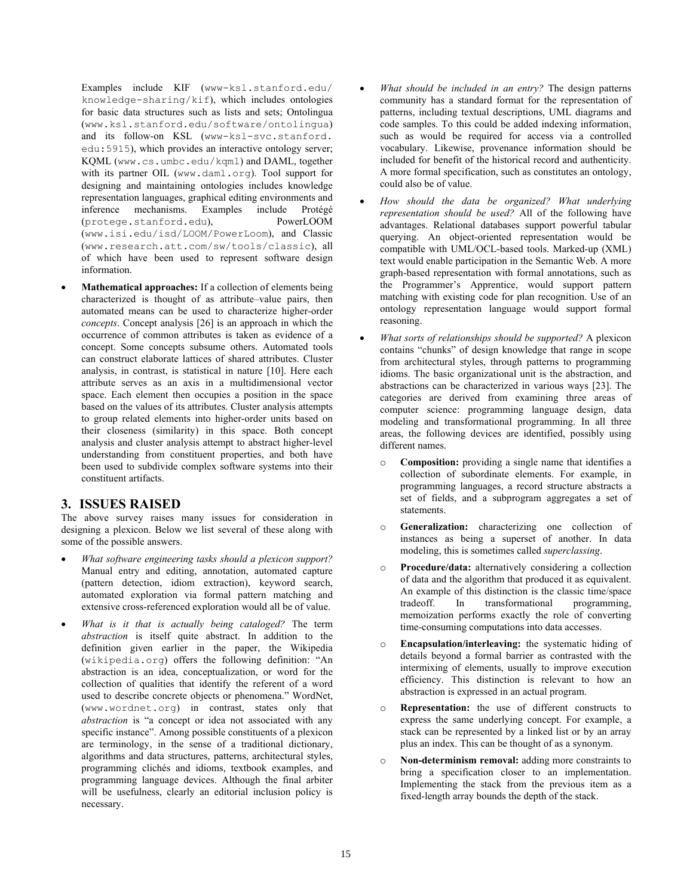Examples include KIF (www-ksl.stanford.edu/ knowledge-sharing/kif), which includes ontologies for basic data structures such as lists and sets; Ontolingua (www.ksl.stanford.edu/software/ontolingua) and its follow-on KSL (www-ksl-svc.stanford. edu:5915), which provides an interactive ontology server; KQML (www.cs.umbc.edu/kqml) and DAML, together with its partner OIL (www.daml.org). Tool support for designing and maintaining ontologies includes knowledge representation languages, graphical editing environments and inference mechanisms. Examples include Protégé (protege.stanford.edu), PowerLOOM (www.isi.edu/isd/LOOM/PowerLoom), and Classic (www.research.att.com/sw/tools/classic), all of which have been used to represent software design information.

**Mathematical approaches:** If a collection of elements being characterized is thought of as attribute–value pairs, then automated means can be used to characterize higher-order *concepts*. Concept analysis [26] is an approach in which the occurrence of common attributes is taken as evidence of a concept. Some concepts subsume others. Automated tools can construct elaborate lattices of shared attributes. Cluster analysis, in contrast, is statistical in nature [10]. Here each attribute serves as an axis in a multidimensional vector space. Each element then occupies a position in the space based on the values of its attributes. Cluster analysis attempts to group related elements into higher-order units based on their closeness (similarity) in this space. Both concept analysis and cluster analysis attempt to abstract higher-level understanding from constituent properties, and both have been used to subdivide complex software systems into their constituent artifacts.

## **3. ISSUES RAISED**

The above survey raises many issues for consideration in designing a plexicon. Below we list several of these along with some of the possible answers.

- *What software engineering tasks should a plexicon support?* Manual entry and editing, annotation, automated capture (pattern detection, idiom extraction), keyword search, automated exploration via formal pattern matching and extensive cross-referenced exploration would all be of value.
- *What is it that is actually being cataloged?* The term *abstraction* is itself quite abstract. In addition to the definition given earlier in the paper, the Wikipedia (wikipedia.org) offers the following definition: "An abstraction is an idea, conceptualization, or word for the collection of qualities that identify the referent of a word used to describe concrete objects or phenomena." WordNet, (www.wordnet.org) in contrast, states only that *abstraction* is "a concept or idea not associated with any specific instance". Among possible constituents of a plexicon are terminology, in the sense of a traditional dictionary, algorithms and data structures, patterns, architectural styles, programming clichés and idioms, textbook examples, and programming language devices. Although the final arbiter will be usefulness, clearly an editorial inclusion policy is necessary.
- *What should be included in an entry?* The design patterns community has a standard format for the representation of patterns, including textual descriptions, UML diagrams and code samples. To this could be added indexing information, such as would be required for access via a controlled vocabulary. Likewise, provenance information should be included for benefit of the historical record and authenticity. A more formal specification, such as constitutes an ontology, could also be of value.
- *How should the data be organized? What underlying representation should be used?* All of the following have advantages. Relational databases support powerful tabular querying. An object-oriented representation would be compatible with UML/OCL-based tools. Marked-up (XML) text would enable participation in the Semantic Web. A more graph-based representation with formal annotations, such as the Programmer's Apprentice, would support pattern matching with existing code for plan recognition. Use of an ontology representation language would support formal reasoning.
- *What sorts of relationships should be supported?* A plexicon contains "chunks" of design knowledge that range in scope from architectural styles, through patterns to programming idioms. The basic organizational unit is the abstraction, and abstractions can be characterized in various ways [23]. The categories are derived from examining three areas of computer science: programming language design, data modeling and transformational programming. In all three areas, the following devices are identified, possibly using different names.
	- Composition: providing a single name that identifies a collection of subordinate elements. For example, in programming languages, a record structure abstracts a set of fields, and a subprogram aggregates a set of statements.
	- o **Generalization:** characterizing one collection of instances as being a superset of another. In data modeling, this is sometimes called *superclassing*.
	- o **Procedure/data:** alternatively considering a collection of data and the algorithm that produced it as equivalent. An example of this distinction is the classic time/space tradeoff. In transformational programming, memoization performs exactly the role of converting time-consuming computations into data accesses.
	- o **Encapsulation/interleaving:** the systematic hiding of details beyond a formal barrier as contrasted with the intermixing of elements, usually to improve execution efficiency. This distinction is relevant to how an abstraction is expressed in an actual program.
	- **Representation:** the use of different constructs to express the same underlying concept. For example, a stack can be represented by a linked list or by an array plus an index. This can be thought of as a synonym.
	- o **Non-determinism removal:** adding more constraints to bring a specification closer to an implementation. Implementing the stack from the previous item as a fixed-length array bounds the depth of the stack.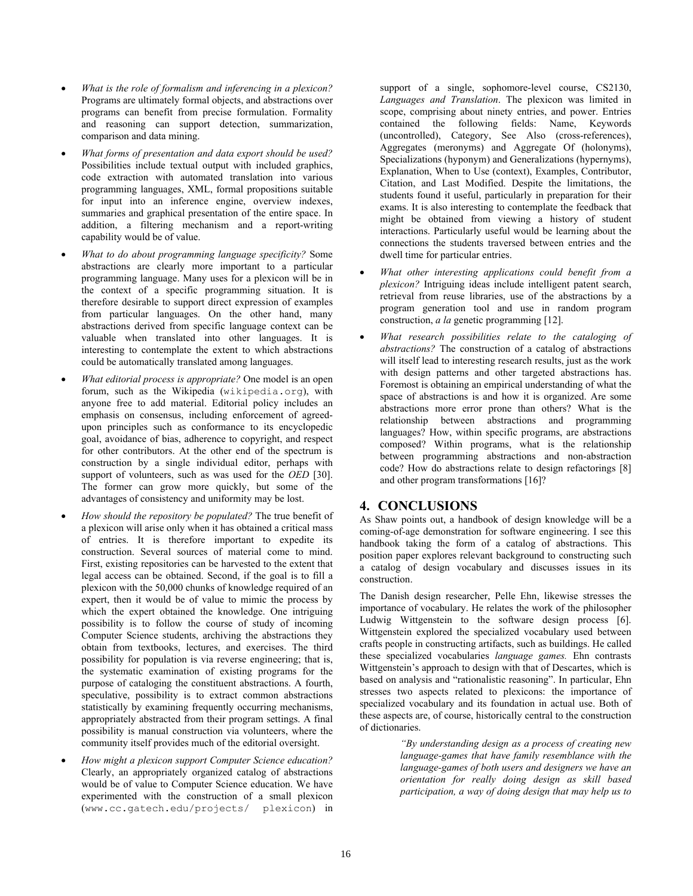- *What is the role of formalism and inferencing in a plexicon?*  Programs are ultimately formal objects, and abstractions over programs can benefit from precise formulation. Formality and reasoning can support detection, summarization, comparison and data mining.
- *What forms of presentation and data export should be used?*  Possibilities include textual output with included graphics, code extraction with automated translation into various programming languages, XML, formal propositions suitable for input into an inference engine, overview indexes, summaries and graphical presentation of the entire space. In addition, a filtering mechanism and a report-writing capability would be of value.
- *What to do about programming language specificity?* Some abstractions are clearly more important to a particular programming language. Many uses for a plexicon will be in the context of a specific programming situation. It is therefore desirable to support direct expression of examples from particular languages. On the other hand, many abstractions derived from specific language context can be valuable when translated into other languages. It is interesting to contemplate the extent to which abstractions could be automatically translated among languages.
- *What editorial process is appropriate?* One model is an open forum, such as the Wikipedia (wikipedia.org), with anyone free to add material. Editorial policy includes an emphasis on consensus, including enforcement of agreedupon principles such as conformance to its encyclopedic goal, avoidance of bias, adherence to copyright, and respect for other contributors. At the other end of the spectrum is construction by a single individual editor, perhaps with support of volunteers, such as was used for the *OED* [30]. The former can grow more quickly, but some of the advantages of consistency and uniformity may be lost.
- *How should the repository be populated?* The true benefit of a plexicon will arise only when it has obtained a critical mass of entries. It is therefore important to expedite its construction. Several sources of material come to mind. First, existing repositories can be harvested to the extent that legal access can be obtained. Second, if the goal is to fill a plexicon with the 50,000 chunks of knowledge required of an expert, then it would be of value to mimic the process by which the expert obtained the knowledge. One intriguing possibility is to follow the course of study of incoming Computer Science students, archiving the abstractions they obtain from textbooks, lectures, and exercises. The third possibility for population is via reverse engineering; that is, the systematic examination of existing programs for the purpose of cataloging the constituent abstractions. A fourth, speculative, possibility is to extract common abstractions statistically by examining frequently occurring mechanisms, appropriately abstracted from their program settings. A final possibility is manual construction via volunteers, where the community itself provides much of the editorial oversight.
- *How might a plexicon support Computer Science education?*  Clearly, an appropriately organized catalog of abstractions would be of value to Computer Science education. We have experimented with the construction of a small plexicon (www.cc.gatech.edu/projects/ plexicon) in

support of a single, sophomore-level course, CS2130, *Languages and Translation*. The plexicon was limited in scope, comprising about ninety entries, and power. Entries contained the following fields: Name, Keywords (uncontrolled), Category, See Also (cross-references), Aggregates (meronyms) and Aggregate Of (holonyms), Specializations (hyponym) and Generalizations (hypernyms), Explanation, When to Use (context), Examples, Contributor, Citation, and Last Modified. Despite the limitations, the students found it useful, particularly in preparation for their exams. It is also interesting to contemplate the feedback that might be obtained from viewing a history of student interactions. Particularly useful would be learning about the connections the students traversed between entries and the dwell time for particular entries.

- *What other interesting applications could benefit from a plexicon?* Intriguing ideas include intelligent patent search, retrieval from reuse libraries, use of the abstractions by a program generation tool and use in random program construction, *a la* genetic programming [12].
- *What research possibilities relate to the cataloging of abstractions?* The construction of a catalog of abstractions will itself lead to interesting research results, just as the work with design patterns and other targeted abstractions has. Foremost is obtaining an empirical understanding of what the space of abstractions is and how it is organized. Are some abstractions more error prone than others? What is the relationship between abstractions and programming languages? How, within specific programs, are abstractions composed? Within programs, what is the relationship between programming abstractions and non-abstraction code? How do abstractions relate to design refactorings [8] and other program transformations [16]?

## **4. CONCLUSIONS**

As Shaw points out, a handbook of design knowledge will be a coming-of-age demonstration for software engineering. I see this handbook taking the form of a catalog of abstractions. This position paper explores relevant background to constructing such a catalog of design vocabulary and discusses issues in its construction.

The Danish design researcher, Pelle Ehn, likewise stresses the importance of vocabulary. He relates the work of the philosopher Ludwig Wittgenstein to the software design process [6]. Wittgenstein explored the specialized vocabulary used between crafts people in constructing artifacts, such as buildings. He called these specialized vocabularies *language games.* Ehn contrasts Wittgenstein's approach to design with that of Descartes, which is based on analysis and "rationalistic reasoning". In particular, Ehn stresses two aspects related to plexicons: the importance of specialized vocabulary and its foundation in actual use. Both of these aspects are, of course, historically central to the construction of dictionaries.

> *"By understanding design as a process of creating new language-games that have family resemblance with the language-games of both users and designers we have an orientation for really doing design as skill based participation, a way of doing design that may help us to*